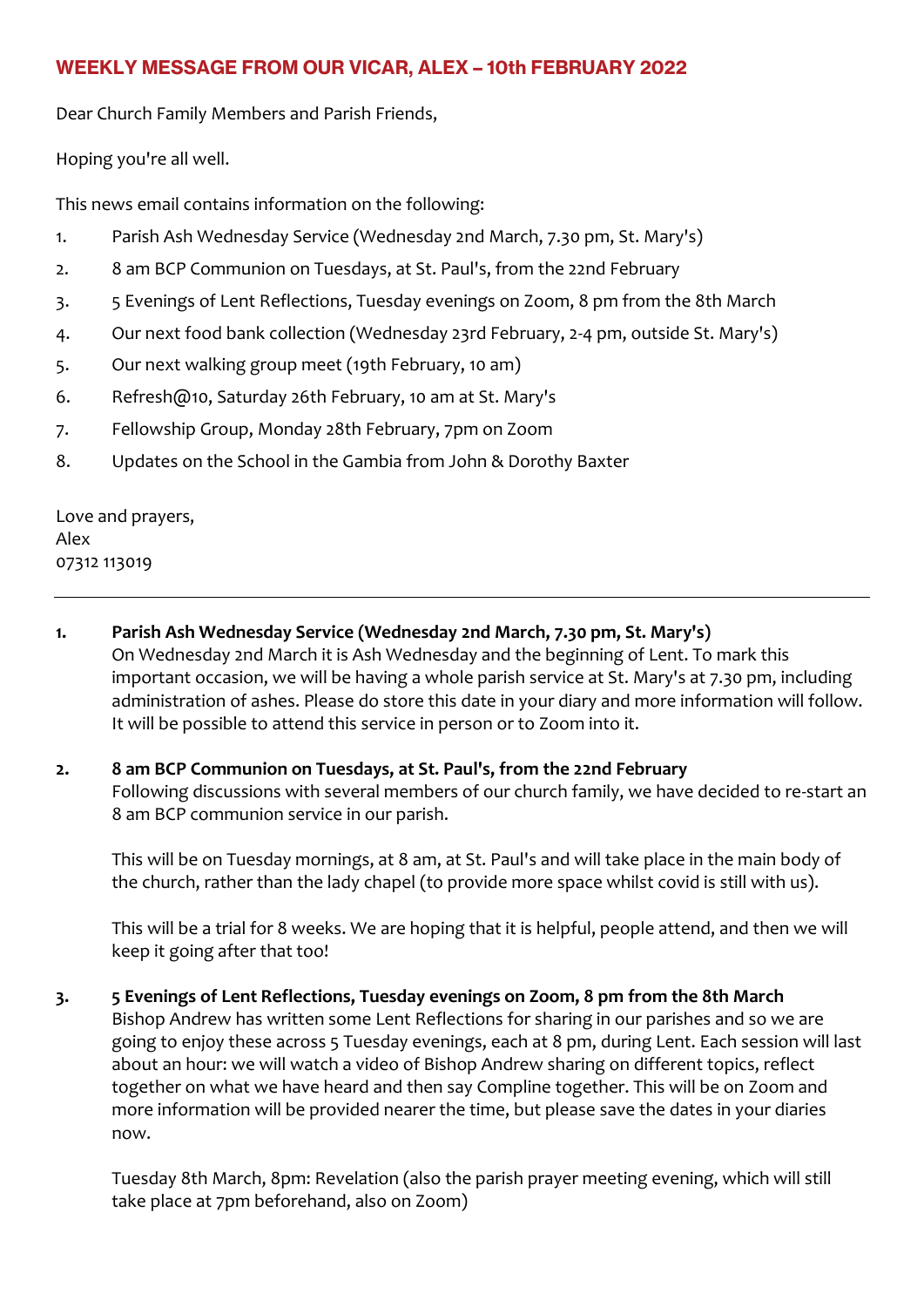# **WEEKLY MESSAGE FROM OUR VICAR, ALEX – 10th FEBRUARY 2022**

Dear Church Family Members and Parish Friends,

Hoping you're all well.

This news email contains information on the following:

- 1. Parish Ash Wednesday Service (Wednesday 2nd March, 7.30 pm, St. Mary's)
- 2. 8 am BCP Communion on Tuesdays, at St. Paul's, from the 22nd February
- 3. 5 Evenings of Lent Reflections, Tuesday evenings on Zoom, 8 pm from the 8th March
- 4. Our next food bank collection (Wednesday 23rd February, 2-4 pm, outside St. Mary's)
- 5. Our next walking group meet (19th February, 10 am)
- 6. Refresh@10, Saturday 26th February, 10 am at St. Mary's
- 7. Fellowship Group, Monday 28th February, 7pm on Zoom
- 8. Updates on the School in the Gambia from John & Dorothy Baxter

Love and prayers, Alex 07312 113019

- **1. Parish Ash Wednesday Service (Wednesday 2nd March, 7.30 pm, St. Mary's)** On Wednesday 2nd March it is Ash Wednesday and the beginning of Lent. To mark this important occasion, we will be having a whole parish service at St. Mary's at 7.30 pm, including administration of ashes. Please do store this date in your diary and more information will follow. It will be possible to attend this service in person or to Zoom into it.
- **2. 8 am BCP Communion on Tuesdays, at St. Paul's, from the 22nd February** Following discussions with several members of our church family, we have decided to re-start an 8 am BCP communion service in our parish.

This will be on Tuesday mornings, at 8 am, at St. Paul's and will take place in the main body of the church, rather than the lady chapel (to provide more space whilst covid is still with us).

This will be a trial for 8 weeks. We are hoping that it is helpful, people attend, and then we will keep it going after that too!

**3. 5 Evenings of Lent Reflections, Tuesday evenings on Zoom, 8 pm from the 8th March** Bishop Andrew has written some Lent Reflections for sharing in our parishes and so we are going to enjoy these across 5 Tuesday evenings, each at 8 pm, during Lent. Each session will last about an hour: we will watch a video of Bishop Andrew sharing on different topics, reflect together on what we have heard and then say Compline together. This will be on Zoom and more information will be provided nearer the time, but please save the dates in your diaries now.

Tuesday 8th March, 8pm: Revelation (also the parish prayer meeting evening, which will still take place at 7pm beforehand, also on Zoom)